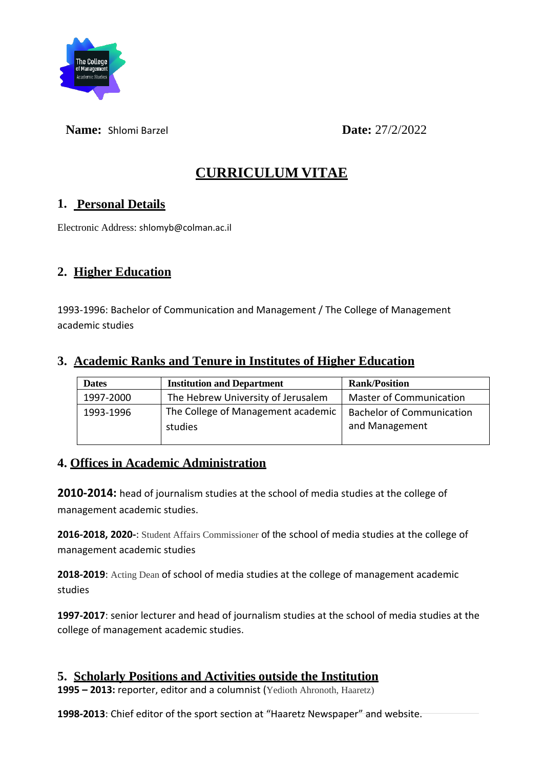

**Name:** Shlomi Barzel **Date:** 27/2/2022

# **CURRICULUM VITAE**

#### **1. Personal Details**

Electronic Address: shlomyb@colman.ac.il

## **2. Higher Education**

1993-1996: Bachelor of Communication and Management / The College of Management academic studies

#### **3. Academic Ranks and Tenure in Institutes of Higher Education**

| <b>Master of Communication</b><br>The Hebrew University of Jerusalem   |
|------------------------------------------------------------------------|
| The College of Management academic<br><b>Bachelor of Communication</b> |
| and Management                                                         |
|                                                                        |

#### **4. Offices in Academic Administration**

**2010-2014:** head of journalism studies at the school of media studies at the college of management academic studies.

**2016-2018, 2020-**: Student Affairs Commissioner of the school of media studies at the college of management academic studies

**2018-2019**: Acting Dean of school of media studies at the college of management academic studies

**1997-2017**: senior lecturer and head of journalism studies at the school of media studies at the college of management academic studies.

#### **5. Scholarly Positions and Activities outside the Institution**

**1995 – 2013:** reporter, editor and a columnist (Yedioth Ahronoth, Haaretz)

**1998-2013**: Chief editor of the sport section at "Haaretz Newspaper" and website.